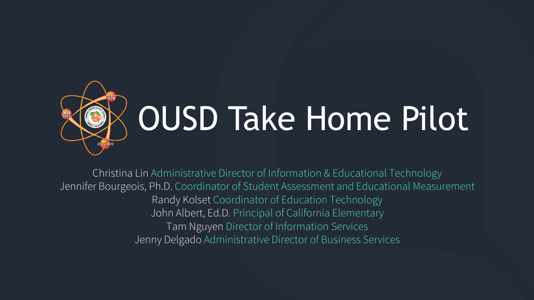

# OUSD Take Home Pilot

Christina Lin Administrative Director of Information & Educational Technology Jennifer Bourgeois, Ph.D. Coordinator of Student Assessment and Educational Measurement Randy Kolset Coordinator of Education Technology John Albert, Ed.D. Principal of California Elementary Tam Nguyen Director of Information Services Jenny Delgado Administrative Director of Business Services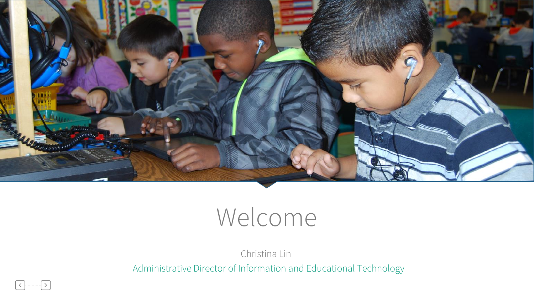

### Welcome

Christina Lin

Administrative Director of Information and Educational Technology

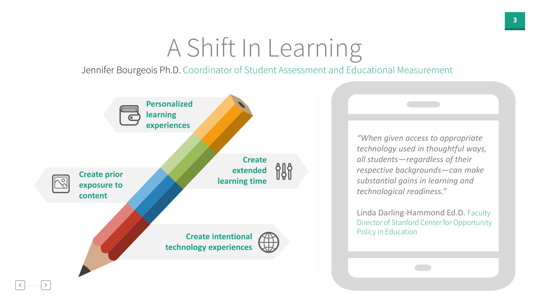#### A Shift In Learning

Jennifer Bourgeois Ph.D. Coordinator of Student Assessment and Educational Measurement



*"When given access to appropriate technology used in thoughtful ways, all students—regardless of their respective backgrounds—can make substantial gains in learning and technological readiness."*

Linda Darling-Hammond Ed.D. Faculty Director of Stanford Center for Opportunity Policy in Education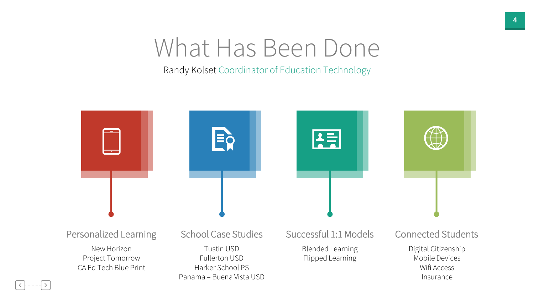#### What Has Been Done

Randy Kolset Coordinator of Education Technology

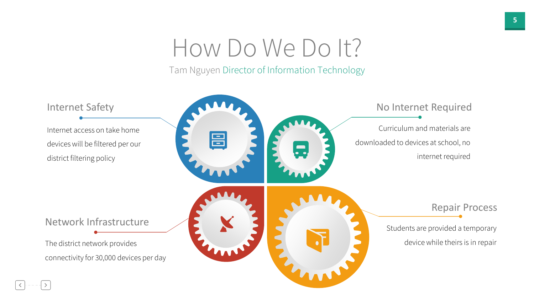#### How Do We Do It?

Tam Nguyen Director of Information Technology

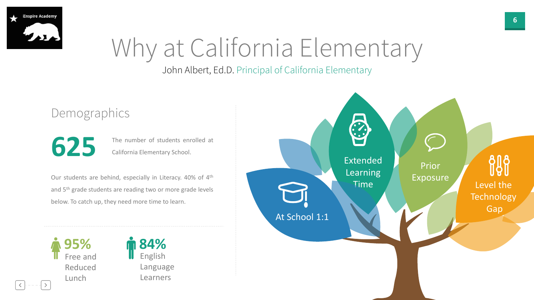

## Why at California Elementary

#### John Albert, Ed.D. Principal of California Elementary

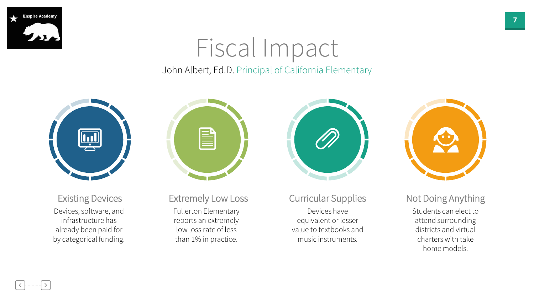

#### John Albert, Ed.D. Principal of California Elementary Fiscal Impact



Devices, software, and infrastructure has already been paid for by categorical funding. Existing Devices



Fullerton Elementary reports an extremely low loss rate of less than 1% in practice. Extremely Low Loss



Devices have equivalent or lesser value to textbooks and music instruments.

Curricular Supplies

Students can elect to attend surrounding districts and virtual charters with take home models. Not Doing Anything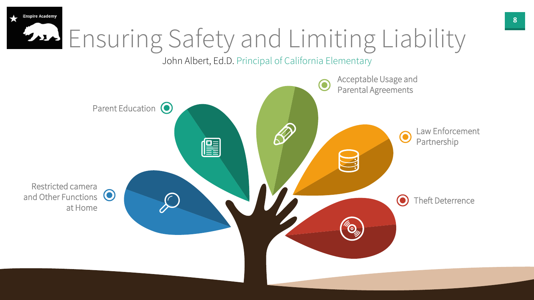